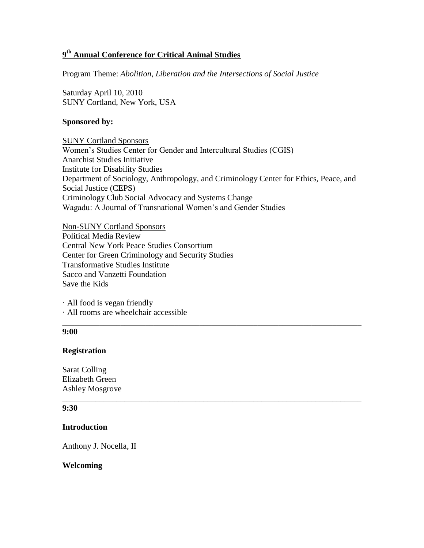# **9 th Annual Conference for Critical Animal Studies**

Program Theme: *Abolition, Liberation and the Intersections of Social Justice*

Saturday April 10, 2010 SUNY Cortland, New York, USA

### **Sponsored by:**

SUNY Cortland Sponsors Women's Studies Center for Gender and Intercultural Studies (CGIS) Anarchist Studies Initiative Institute for Disability Studies Department of Sociology, Anthropology, and Criminology Center for Ethics, Peace, and Social Justice (CEPS) Criminology Club Social Advocacy and Systems Change Wagadu: A Journal of Transnational Women's and Gender Studies

\_\_\_\_\_\_\_\_\_\_\_\_\_\_\_\_\_\_\_\_\_\_\_\_\_\_\_\_\_\_\_\_\_\_\_\_\_\_\_\_\_\_\_\_\_\_\_\_\_\_\_\_\_\_\_\_\_\_\_\_\_\_\_\_\_\_\_\_\_\_\_\_

\_\_\_\_\_\_\_\_\_\_\_\_\_\_\_\_\_\_\_\_\_\_\_\_\_\_\_\_\_\_\_\_\_\_\_\_\_\_\_\_\_\_\_\_\_\_\_\_\_\_\_\_\_\_\_\_\_\_\_\_\_\_\_\_\_\_\_\_\_\_\_\_

Non-SUNY Cortland Sponsors Political Media Review Central New York Peace Studies Consortium Center for Green Criminology and Security Studies Transformative Studies Institute Sacco and Vanzetti Foundation Save the Kids

· All food is vegan friendly · All rooms are wheelchair accessible

### **9:00**

### **Registration**

Sarat Colling Elizabeth Green Ashley Mosgrove

#### **9:30**

## **Introduction**

Anthony J. Nocella, II

### **Welcoming**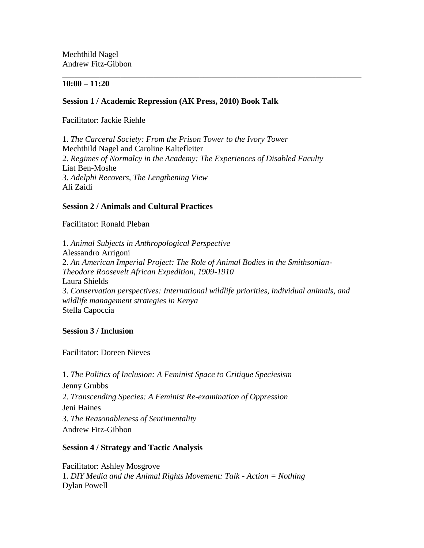Mechthild Nagel Andrew Fitz-Gibbon

### **10:00 – 11:20**

## **Session 1 / Academic Repression (AK Press, 2010) Book Talk**

Facilitator: Jackie Riehle

1. *The Carceral Society: From the Prison Tower to the Ivory Tower*  Mechthild Nagel and [Caroline Kaltefleiter](mailto:Caroline.Kaltefleiter@cortland.edu) 2. *Regimes of Normalcy in the Academy: The Experiences of Disabled Faculty*  Liat Ben-Moshe 3. *Adelphi Recovers, The Lengthening View*  Ali Zaidi

\_\_\_\_\_\_\_\_\_\_\_\_\_\_\_\_\_\_\_\_\_\_\_\_\_\_\_\_\_\_\_\_\_\_\_\_\_\_\_\_\_\_\_\_\_\_\_\_\_\_\_\_\_\_\_\_\_\_\_\_\_\_\_\_\_\_\_\_\_\_\_\_

## **Session 2 / Animals and Cultural Practices**

Facilitator: Ronald Pleban

1. *Animal Subjects in Anthropological Perspective* Alessandro Arrigoni 2. *An American Imperial Project: The Role of Animal Bodies in the Smithsonian-Theodore Roosevelt African Expedition, 1909-1910* Laura Shields 3. *Conservation perspectives: International wildlife priorities, individual animals, and wildlife management strategies in Kenya* Stella Capoccia

### **Session 3 / Inclusion**

Facilitator: Doreen Nieves

1. *The Politics of Inclusion: A Feminist Space to Critique Speciesism* Jenny Grubbs 2. *Transcending Species: A Feminist Re-examination of Oppression* Jeni Haines 3. *The Reasonableness of Sentimentality* Andrew Fitz-Gibbon

## **Session 4 / Strategy and Tactic Analysis**

Facilitator: Ashley Mosgrove 1. *DIY Media and the Animal Rights Movement: Talk - Action = Nothing* Dylan Powell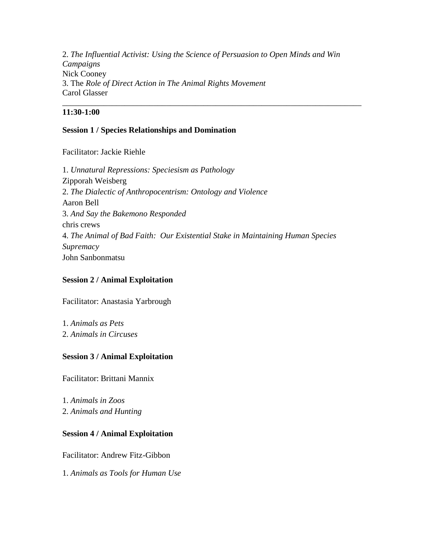2. *The Influential Activist: Using the Science of Persuasion to Open Minds and Win Campaigns* Nick Cooney 3. The *Role of Direct Action in The Animal Rights Movement* Carol Glasser

\_\_\_\_\_\_\_\_\_\_\_\_\_\_\_\_\_\_\_\_\_\_\_\_\_\_\_\_\_\_\_\_\_\_\_\_\_\_\_\_\_\_\_\_\_\_\_\_\_\_\_\_\_\_\_\_\_\_\_\_\_\_\_\_\_\_\_\_\_\_\_\_

## **11:30-1:00**

## **Session 1 / Species Relationships and Domination**

Facilitator: Jackie Riehle

1. *Unnatural Repressions: Speciesism as Pathology* Zipporah Weisberg 2. *The Dialectic of Anthropocentrism: Ontology and Violence* Aaron Bell 3. *And Say the Bakemono Responded* chris crews 4. *The Animal of Bad Faith: Our Existential Stake in Maintaining Human Species Supremacy* John Sanbonmatsu

## **Session 2 / Animal Exploitation**

Facilitator: Anastasia Yarbrough

1. *Animals as Pets* 2. *Animals in Circuses*

## **Session 3 / Animal Exploitation**

Facilitator: Brittani Mannix

1. *Animals in Zoos* 2. *Animals and Hunting*

## **Session 4 / Animal Exploitation**

Facilitator: Andrew Fitz-Gibbon

1. *Animals as Tools for Human Use*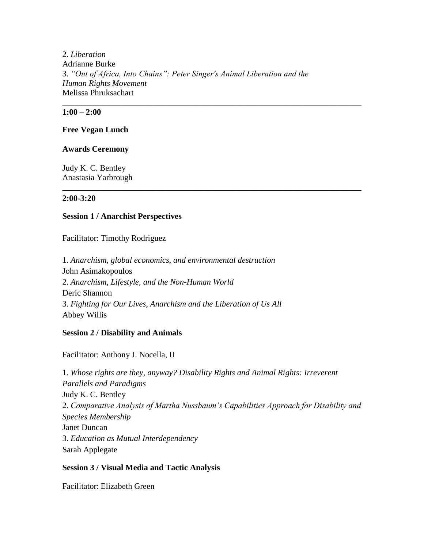2. *Liberation* Adrianne Burke 3. *"Out of Africa, Into Chains": Peter Singer's Animal Liberation and the Human Rights Movement* Melissa Phruksachart

\_\_\_\_\_\_\_\_\_\_\_\_\_\_\_\_\_\_\_\_\_\_\_\_\_\_\_\_\_\_\_\_\_\_\_\_\_\_\_\_\_\_\_\_\_\_\_\_\_\_\_\_\_\_\_\_\_\_\_\_\_\_\_\_\_\_\_\_\_\_\_\_

\_\_\_\_\_\_\_\_\_\_\_\_\_\_\_\_\_\_\_\_\_\_\_\_\_\_\_\_\_\_\_\_\_\_\_\_\_\_\_\_\_\_\_\_\_\_\_\_\_\_\_\_\_\_\_\_\_\_\_\_\_\_\_\_\_\_\_\_\_\_\_\_

## **1:00 – 2:00**

#### **Free Vegan Lunch**

#### **Awards Ceremony**

Judy K. C. Bentley Anastasia Yarbrough

#### **2:00-3:20**

#### **Session 1 / Anarchist Perspectives**

Facilitator: Timothy Rodriguez

1. *Anarchism, global economics, and environmental destruction* John Asimakopoulos 2. *Anarchism, Lifestyle, and the Non-Human World* Deric Shannon 3. *Fighting for Our Lives, Anarchism and the Liberation of Us All* Abbey Willis

### **Session 2 / Disability and Animals**

Facilitator: Anthony J. Nocella, II

1. *Whose rights are they, anyway? Disability Rights and Animal Rights: Irreverent Parallels and Paradigms* Judy K. C. Bentley 2. *Comparative Analysis of Martha Nussbaum's Capabilities Approach for Disability and Species Membership* Janet Duncan 3. *Education as Mutual Interdependency* Sarah Applegate

### **Session 3 / Visual Media and Tactic Analysis**

Facilitator: Elizabeth Green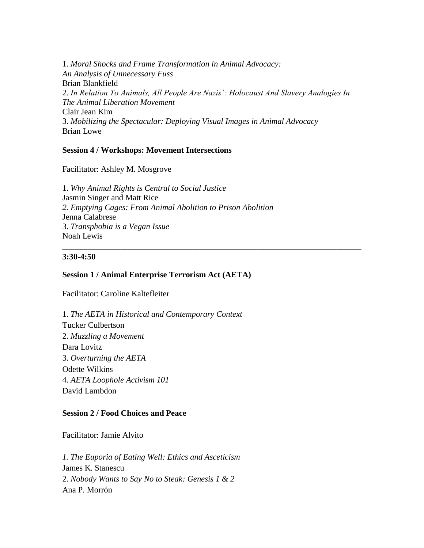1. *Moral Shocks and Frame Transformation in Animal Advocacy: An Analysis of Unnecessary Fuss* Brian Blankfield 2. *In Relation To Animals, All People Are Nazis': Holocaust And Slavery Analogies In The Animal Liberation Movement* Clair Jean Kim 3. *Mobilizing the Spectacular: Deploying Visual Images in Animal Advocacy* Brian Lowe

\_\_\_\_\_\_\_\_\_\_\_\_\_\_\_\_\_\_\_\_\_\_\_\_\_\_\_\_\_\_\_\_\_\_\_\_\_\_\_\_\_\_\_\_\_\_\_\_\_\_\_\_\_\_\_\_\_\_\_\_\_\_\_\_\_\_\_\_\_\_\_\_

### **Session 4 / Workshops: Movement Intersections**

Facilitator: Ashley M. Mosgrove

1. *Why Animal Rights is Central to Social Justice* Jasmin Singer and Matt Rice *2. Emptying Cages: From Animal Abolition to Prison Abolition* Jenna Calabrese 3. *Transphobia is a Vegan Issue* Noah Lewis

### **3:30-4:50**

### **Session 1 / Animal Enterprise Terrorism Act (AETA)**

Facilitator: Caroline Kaltefleiter

1. *The AETA in Historical and Contemporary Context* Tucker Culbertson 2. *Muzzling a Movement* Dara Lovitz 3. *Overturning the AETA* Odette Wilkins 4. *AETA Loophole Activism 101* David Lambdon

### **Session 2 / Food Choices and Peace**

Facilitator: Jamie Alvito

*1. The Euporia of Eating Well: Ethics and Asceticism* James K. Stanescu 2. *Nobody Wants to Say No to Steak: Genesis 1 & 2*  Ana P. Morrón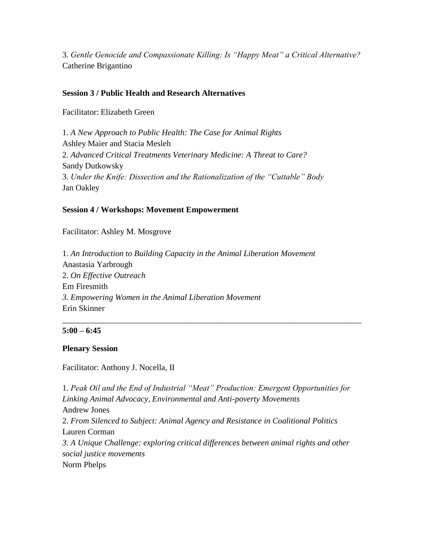3. *Gentle Genocide and Compassionate Killing: Is "Happy Meat" a Critical Alternative?* Catherine Brigantino

## **Session 3 / Public Health and Research Alternatives**

Facilitator: Elizabeth Green

1. *A New Approach to Public Health: The Case for Animal Rights* Ashley Maier and Stacia Mesleh 2. *Advanced Critical Treatments Veterinary Medicine: A Threat to Care?* Sandy Dutkowsky 3. *Under the Knife: Dissection and the Rationalization of the "Cuttable" Body* Jan Oakley

# **Session 4 / Workshops: Movement Empowerment**

Facilitator: Ashley M. Mosgrove

1. *An Introduction to Building Capacity in the Animal Liberation Movement* Anastasia Yarbrough 2. *On Effective Outreach* Em Firesmith *3. Empowering Women in the Animal Liberation Movement* Erin Skinner

## **5:00 – 6:45**

## **Plenary Session**

Facilitator: Anthony J. Nocella, II

1. *Peak Oil and the End of Industrial "Meat" Production: Emergent Opportunities for Linking Animal Advocacy, Environmental and Anti-poverty Movements* Andrew Jones 2. *From Silenced to Subject: Animal Agency and Resistance in Coalitional Politics* Lauren Corman *3. A Unique Challenge: exploring critical differences between animal rights and other social justice movements* Norm Phelps

\_\_\_\_\_\_\_\_\_\_\_\_\_\_\_\_\_\_\_\_\_\_\_\_\_\_\_\_\_\_\_\_\_\_\_\_\_\_\_\_\_\_\_\_\_\_\_\_\_\_\_\_\_\_\_\_\_\_\_\_\_\_\_\_\_\_\_\_\_\_\_\_